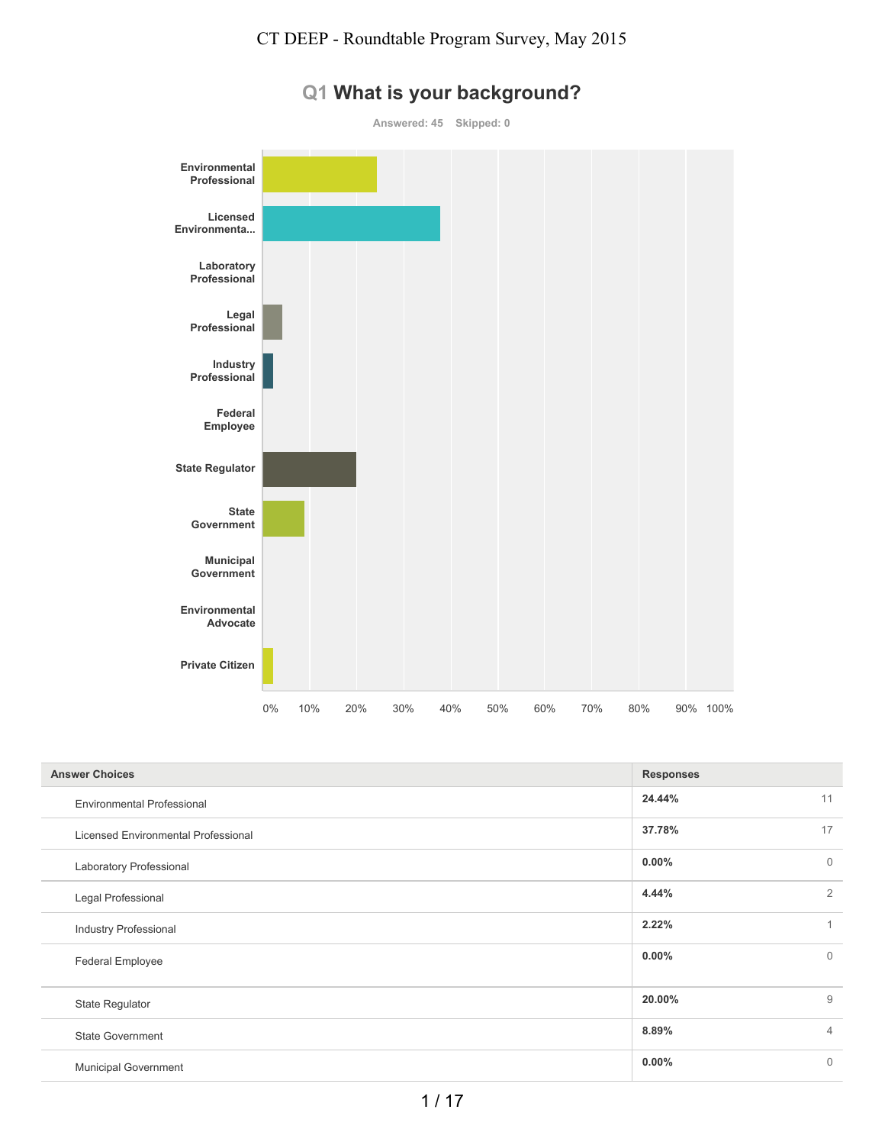

# **Q1 What is your background?**

| <b>Answer Choices</b>               | <b>Responses</b> |                |
|-------------------------------------|------------------|----------------|
| <b>Environmental Professional</b>   | 24.44%           | 11             |
| Licensed Environmental Professional | 37.78%           | 17             |
| Laboratory Professional             | $0.00\%$         | $\mathbf{0}$   |
| Legal Professional                  | 4.44%            | $\overline{2}$ |
| <b>Industry Professional</b>        | 2.22%            | $\overline{A}$ |
| Federal Employee                    | $0.00\%$         | $\mathbf{0}$   |
| <b>State Regulator</b>              | 20.00%           | 9              |
| <b>State Government</b>             | 8.89%            | $\overline{4}$ |
| <b>Municipal Government</b>         | $0.00\%$         | $\mathbf{0}$   |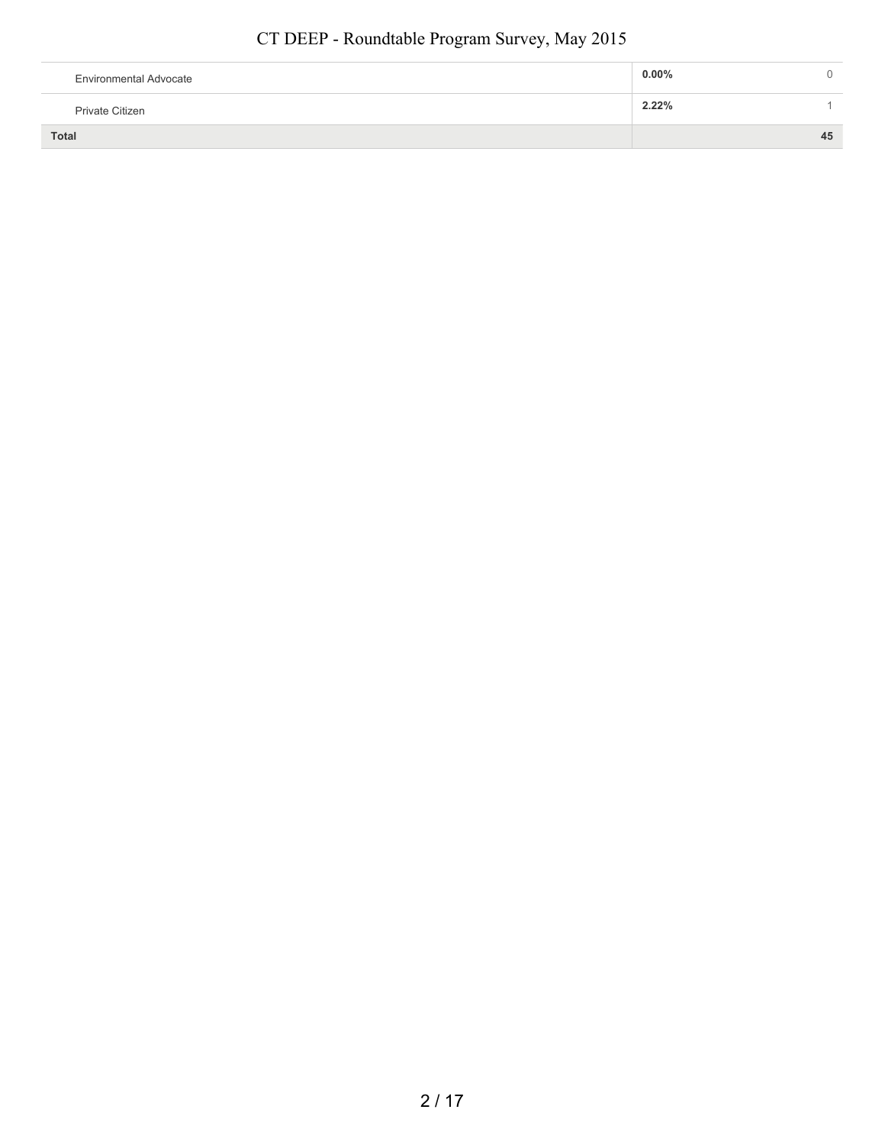| <b>Environmental Advocate</b> | $0.00\%$ |    |
|-------------------------------|----------|----|
| Private Citizen               | 2.22%    |    |
| Total                         |          | 45 |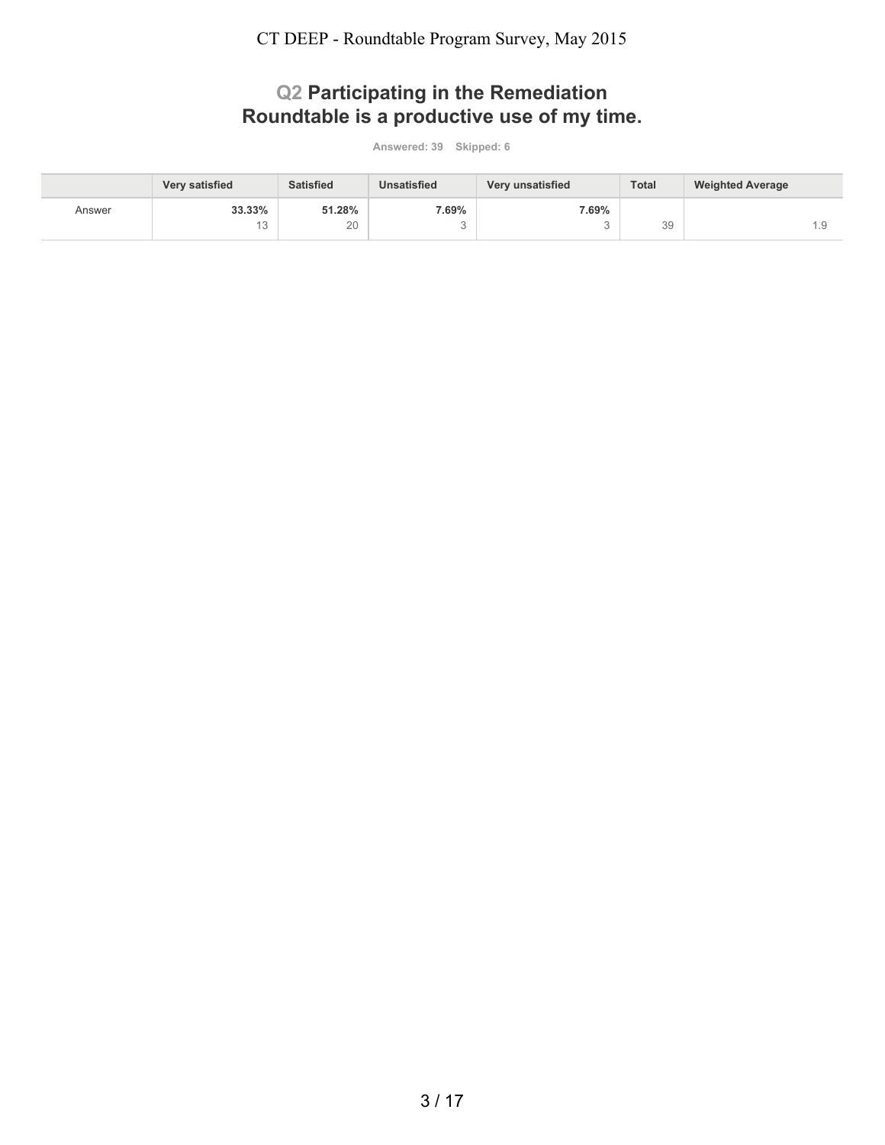### **Q2 Participating in the Remediation Roundtable is a productive use of my time.**

|        | Very satisfied | <b>Satisfied</b> | <b>Unsatisfied</b> | Very unsatisfied | <b>Total</b> | <b>Weighted Average</b> |
|--------|----------------|------------------|--------------------|------------------|--------------|-------------------------|
| Answer | 33.33%         | 51.28%           | 7.69%              | 7.69%            |              |                         |
|        | 1 Q<br>◡       | 20               |                    |                  | 39           | 1.5                     |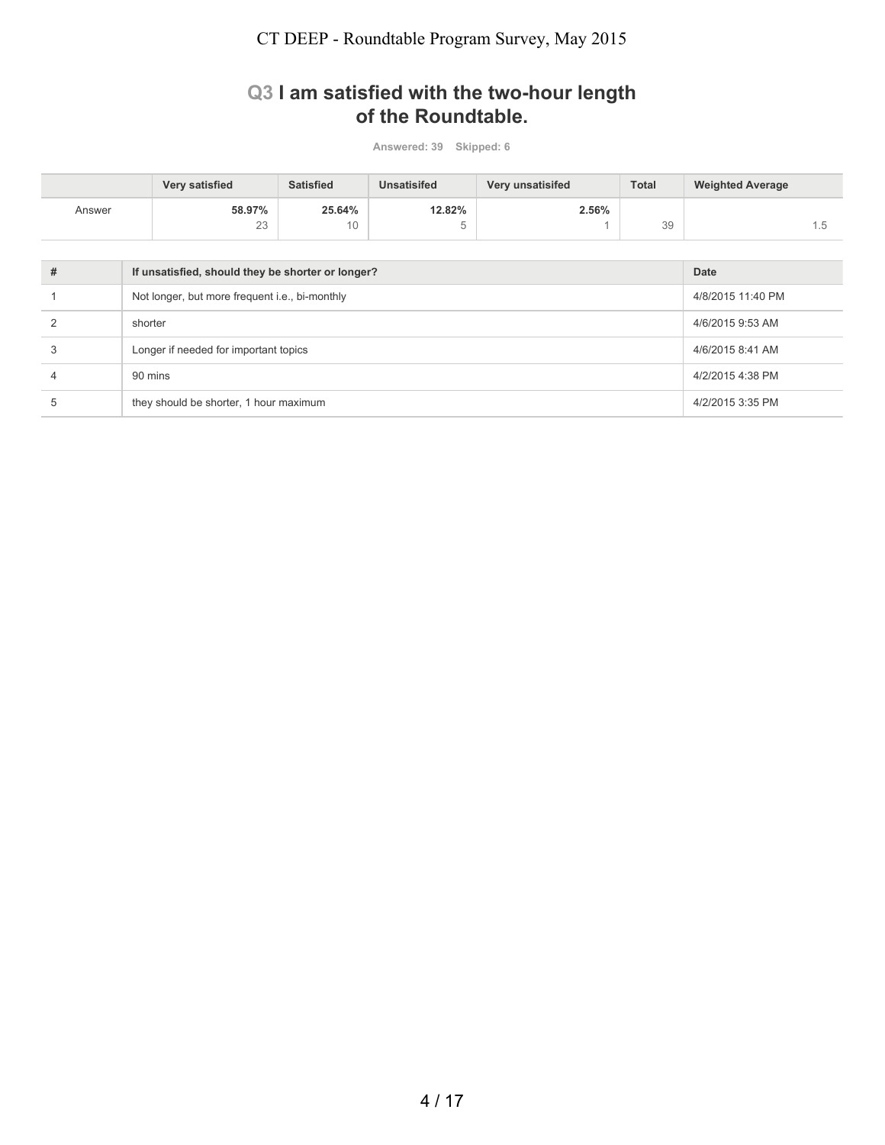### **Q3 I am satisfied with the two-hour length of the Roundtable.**

|                | Very satisfied                                    | <b>Satisfied</b>  | <b>Unsatisifed</b> | Very unsatisifed | <b>Total</b> | <b>Weighted Average</b> |     |
|----------------|---------------------------------------------------|-------------------|--------------------|------------------|--------------|-------------------------|-----|
| Answer         | 58.97%<br>23                                      | 25.64%<br>10      | 12.82%<br>5        | 2.56%            | 39           |                         | 1.5 |
|                |                                                   |                   |                    |                  |              |                         |     |
| #              | If unsatisfied, should they be shorter or longer? |                   | <b>Date</b>        |                  |              |                         |     |
|                | Not longer, but more frequent i.e., bi-monthly    | 4/8/2015 11:40 PM |                    |                  |              |                         |     |
| $\mathfrak{p}$ | shorter                                           | 4/6/2015 9:53 AM  |                    |                  |              |                         |     |
| 3              | Longer if needed for important topics             | 4/6/2015 8:41 AM  |                    |                  |              |                         |     |
| 4              | 90 mins                                           | 4/2/2015 4:38 PM  |                    |                  |              |                         |     |
| 5              | they should be shorter, 1 hour maximum            | 4/2/2015 3:35 PM  |                    |                  |              |                         |     |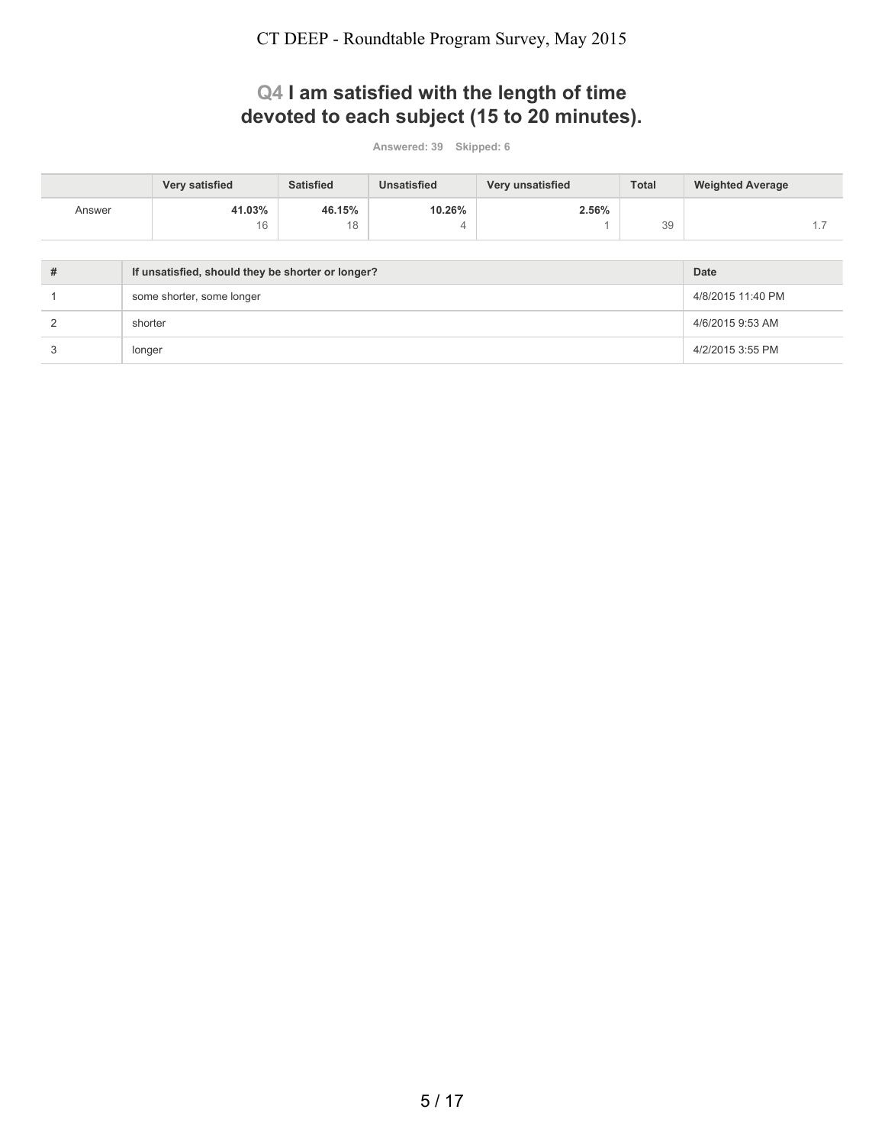# **Q4 I am satisfied with the length of time devoted to each subject (15 to 20 minutes).**

|                | Very satisfied                                    | <b>Satisfied</b> | <b>Unsatisfied</b> | Very unsatisfied | <b>Total</b> | <b>Weighted Average</b> |     |
|----------------|---------------------------------------------------|------------------|--------------------|------------------|--------------|-------------------------|-----|
| Answer         | 41.03%                                            | 46.15%           | 10.26%             | 2.56%            |              |                         |     |
|                | 16                                                | 18               | 4                  |                  | 39           |                         | 1.7 |
|                |                                                   |                  |                    |                  |              |                         |     |
| #              | If unsatisfied, should they be shorter or longer? |                  | Date               |                  |              |                         |     |
|                | some shorter, some longer                         |                  |                    |                  |              |                         |     |
| $\mathfrak{p}$ | shorter                                           |                  |                    |                  |              |                         |     |
| 3              | 4/2/2015 3:55 PM                                  |                  |                    |                  |              |                         |     |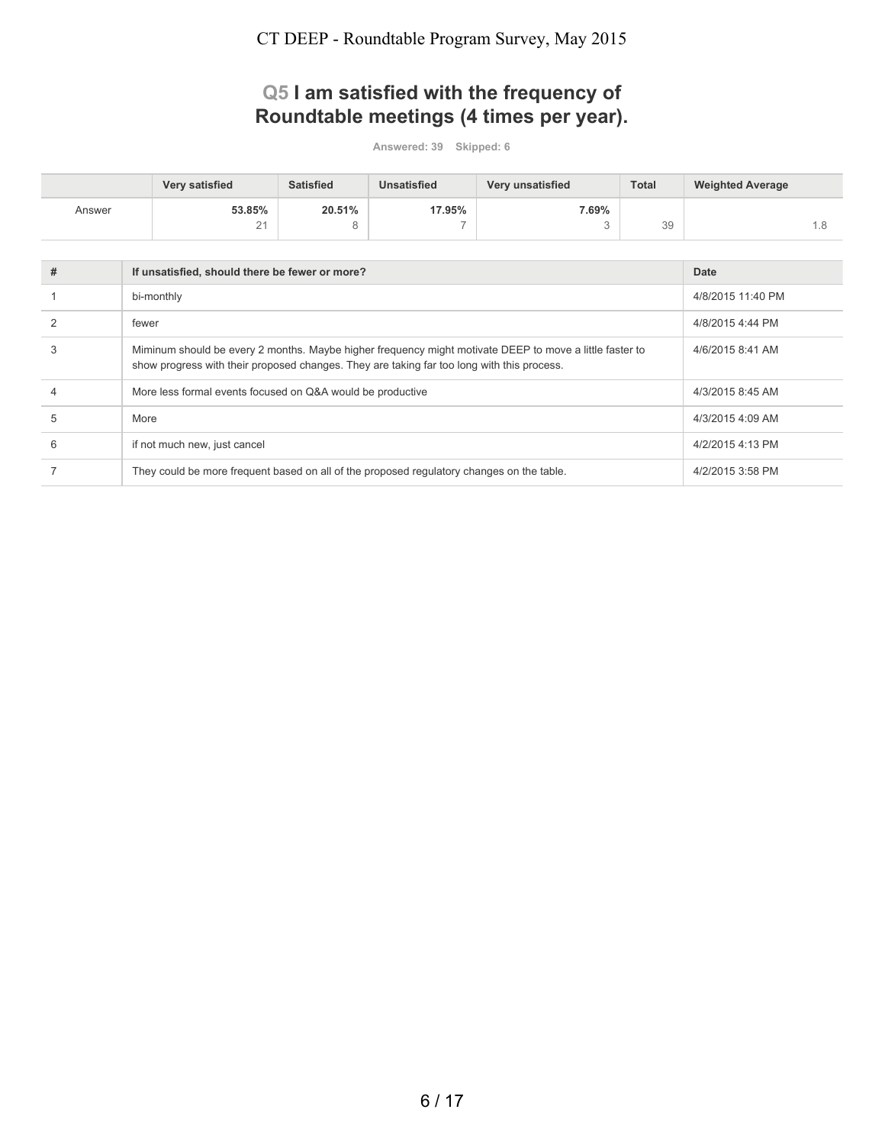# **Q5 I am satisfied with the frequency of Roundtable meetings (4 times per year).**

|        | <b>Very satisfied</b> | <b>Satisfied</b> | Unsatisfied | Very unsatisfied | <b>Total</b> | <b>Weighted Average</b> |
|--------|-----------------------|------------------|-------------|------------------|--------------|-------------------------|
| Answer | 53.85%                | 20.51%           | 17.95%      | 7.69%            |              |                         |
|        | 21                    | ∽                | -           |                  | 39           |                         |

| # | If unsatisfied, should there be fewer or more?                                                                                                                                                        | <b>Date</b>       |
|---|-------------------------------------------------------------------------------------------------------------------------------------------------------------------------------------------------------|-------------------|
|   | bi-monthly                                                                                                                                                                                            | 4/8/2015 11:40 PM |
|   | fewer                                                                                                                                                                                                 | 4/8/2015 4:44 PM  |
|   | Miminum should be every 2 months. Maybe higher frequency might motivate DEEP to move a little faster to<br>show progress with their proposed changes. They are taking far too long with this process. | 4/6/2015 8:41 AM  |
|   | More less formal events focused on Q&A would be productive                                                                                                                                            | 4/3/2015 8:45 AM  |
| 5 | More                                                                                                                                                                                                  | 4/3/2015 4:09 AM  |
| 6 | if not much new, just cancel                                                                                                                                                                          | 4/2/2015 4:13 PM  |
|   | They could be more frequent based on all of the proposed regulatory changes on the table.                                                                                                             | 4/2/2015 3:58 PM  |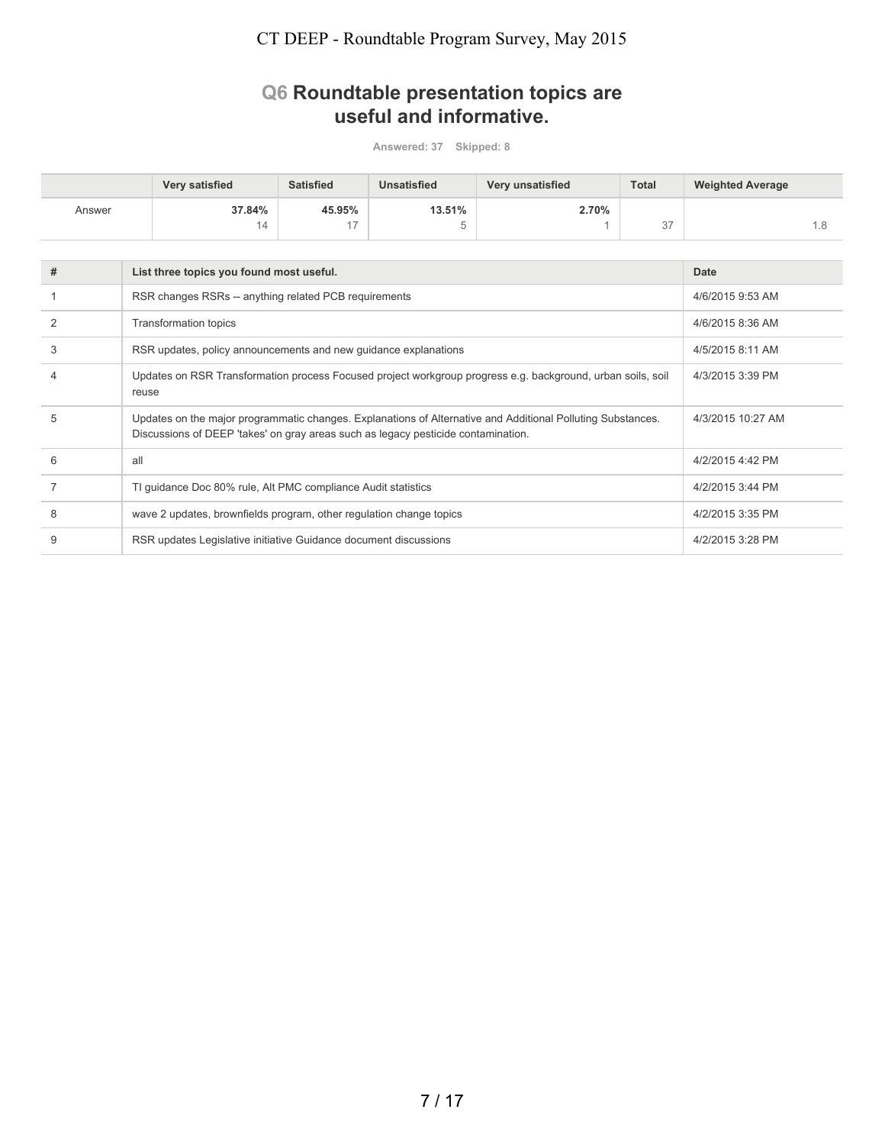### **Q6 Roundtable presentation topics are useful and informative.**

|        | <b>Very satisfied</b> | <b>Satisfied</b> | Unsatisfied | <b>Very unsatisfied</b> | <b>Total</b>               | <b>Weighted Average</b> |
|--------|-----------------------|------------------|-------------|-------------------------|----------------------------|-------------------------|
| Answer | 37.84%                | 45.95%           | 13.51%      | 2.70%                   |                            |                         |
|        | 14                    | $4 -$            |             |                         | $\sim$ $\rightarrow$<br>31 |                         |

| # | List three topics you found most useful.                                                                                                                                                         | <b>Date</b>       |
|---|--------------------------------------------------------------------------------------------------------------------------------------------------------------------------------------------------|-------------------|
|   | RSR changes RSRs -- anything related PCB requirements                                                                                                                                            | 4/6/2015 9:53 AM  |
|   | <b>Transformation topics</b>                                                                                                                                                                     | 4/6/2015 8:36 AM  |
|   | RSR updates, policy announcements and new guidance explanations                                                                                                                                  | 4/5/2015 8:11 AM  |
|   | Updates on RSR Transformation process Focused project workgroup progress e.g. background, urban soils, soil<br>reuse                                                                             | 4/3/2015 3:39 PM  |
| 5 | Updates on the major programmatic changes. Explanations of Alternative and Additional Polluting Substances.<br>Discussions of DEEP 'takes' on gray areas such as legacy pesticide contamination. | 4/3/2015 10:27 AM |
| 6 | all                                                                                                                                                                                              | 4/2/2015 4:42 PM  |
|   | TI guidance Doc 80% rule, Alt PMC compliance Audit statistics                                                                                                                                    | 4/2/2015 3:44 PM  |
| 8 | wave 2 updates, brownfields program, other regulation change topics                                                                                                                              | 4/2/2015 3:35 PM  |
| g | RSR updates Legislative initiative Guidance document discussions                                                                                                                                 | 4/2/2015 3:28 PM  |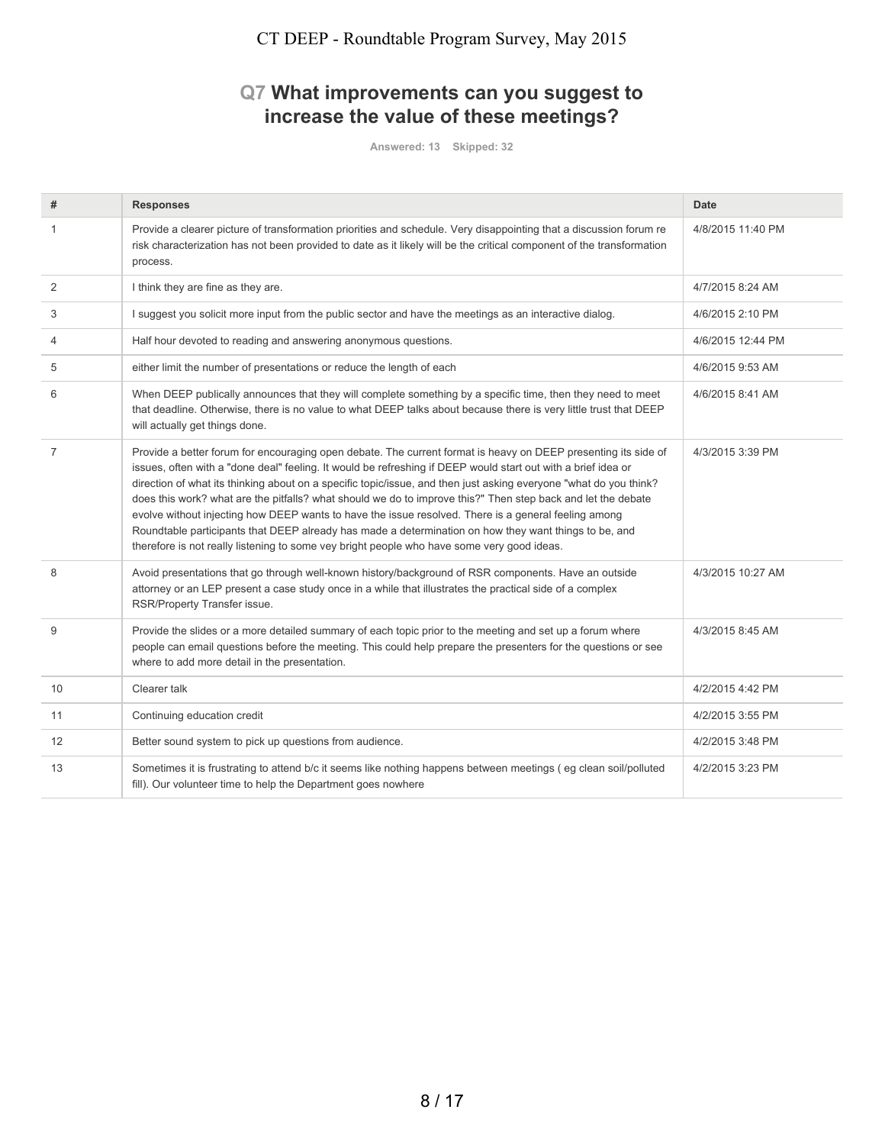### **Q7 What improvements can you suggest to increase the value of these meetings?**

| #              | <b>Responses</b>                                                                                                                                                                                                                                                                                                                                                                                                                                                                                                                                                                                                                                                                                                                                                                    | <b>Date</b>       |
|----------------|-------------------------------------------------------------------------------------------------------------------------------------------------------------------------------------------------------------------------------------------------------------------------------------------------------------------------------------------------------------------------------------------------------------------------------------------------------------------------------------------------------------------------------------------------------------------------------------------------------------------------------------------------------------------------------------------------------------------------------------------------------------------------------------|-------------------|
| 1              | Provide a clearer picture of transformation priorities and schedule. Very disappointing that a discussion forum re<br>risk characterization has not been provided to date as it likely will be the critical component of the transformation<br>process.                                                                                                                                                                                                                                                                                                                                                                                                                                                                                                                             | 4/8/2015 11:40 PM |
| 2              | I think they are fine as they are.                                                                                                                                                                                                                                                                                                                                                                                                                                                                                                                                                                                                                                                                                                                                                  | 4/7/2015 8:24 AM  |
| 3              | I suggest you solicit more input from the public sector and have the meetings as an interactive dialog.                                                                                                                                                                                                                                                                                                                                                                                                                                                                                                                                                                                                                                                                             | 4/6/2015 2:10 PM  |
| 4              | Half hour devoted to reading and answering anonymous questions.                                                                                                                                                                                                                                                                                                                                                                                                                                                                                                                                                                                                                                                                                                                     | 4/6/2015 12:44 PM |
| 5              | either limit the number of presentations or reduce the length of each                                                                                                                                                                                                                                                                                                                                                                                                                                                                                                                                                                                                                                                                                                               | 4/6/2015 9:53 AM  |
| 6              | When DEEP publically announces that they will complete something by a specific time, then they need to meet<br>that deadline. Otherwise, there is no value to what DEEP talks about because there is very little trust that DEEP<br>will actually get things done.                                                                                                                                                                                                                                                                                                                                                                                                                                                                                                                  | 4/6/2015 8:41 AM  |
| $\overline{7}$ | Provide a better forum for encouraging open debate. The current format is heavy on DEEP presenting its side of<br>issues, often with a "done deal" feeling. It would be refreshing if DEEP would start out with a brief idea or<br>direction of what its thinking about on a specific topic/issue, and then just asking everyone "what do you think?<br>does this work? what are the pitfalls? what should we do to improve this?" Then step back and let the debate<br>evolve without injecting how DEEP wants to have the issue resolved. There is a general feeling among<br>Roundtable participants that DEEP already has made a determination on how they want things to be, and<br>therefore is not really listening to some vey bright people who have some very good ideas. | 4/3/2015 3:39 PM  |
| 8              | Avoid presentations that go through well-known history/background of RSR components. Have an outside<br>attorney or an LEP present a case study once in a while that illustrates the practical side of a complex<br>RSR/Property Transfer issue.                                                                                                                                                                                                                                                                                                                                                                                                                                                                                                                                    | 4/3/2015 10:27 AM |
| 9              | Provide the slides or a more detailed summary of each topic prior to the meeting and set up a forum where<br>people can email questions before the meeting. This could help prepare the presenters for the questions or see<br>where to add more detail in the presentation.                                                                                                                                                                                                                                                                                                                                                                                                                                                                                                        | 4/3/2015 8:45 AM  |
| 10             | Clearer talk                                                                                                                                                                                                                                                                                                                                                                                                                                                                                                                                                                                                                                                                                                                                                                        | 4/2/2015 4:42 PM  |
| 11             | Continuing education credit                                                                                                                                                                                                                                                                                                                                                                                                                                                                                                                                                                                                                                                                                                                                                         | 4/2/2015 3:55 PM  |
| 12             | Better sound system to pick up questions from audience.                                                                                                                                                                                                                                                                                                                                                                                                                                                                                                                                                                                                                                                                                                                             | 4/2/2015 3:48 PM  |
| 13             | Sometimes it is frustrating to attend b/c it seems like nothing happens between meetings (eg clean soil/polluted<br>fill). Our volunteer time to help the Department goes nowhere                                                                                                                                                                                                                                                                                                                                                                                                                                                                                                                                                                                                   | 4/2/2015 3:23 PM  |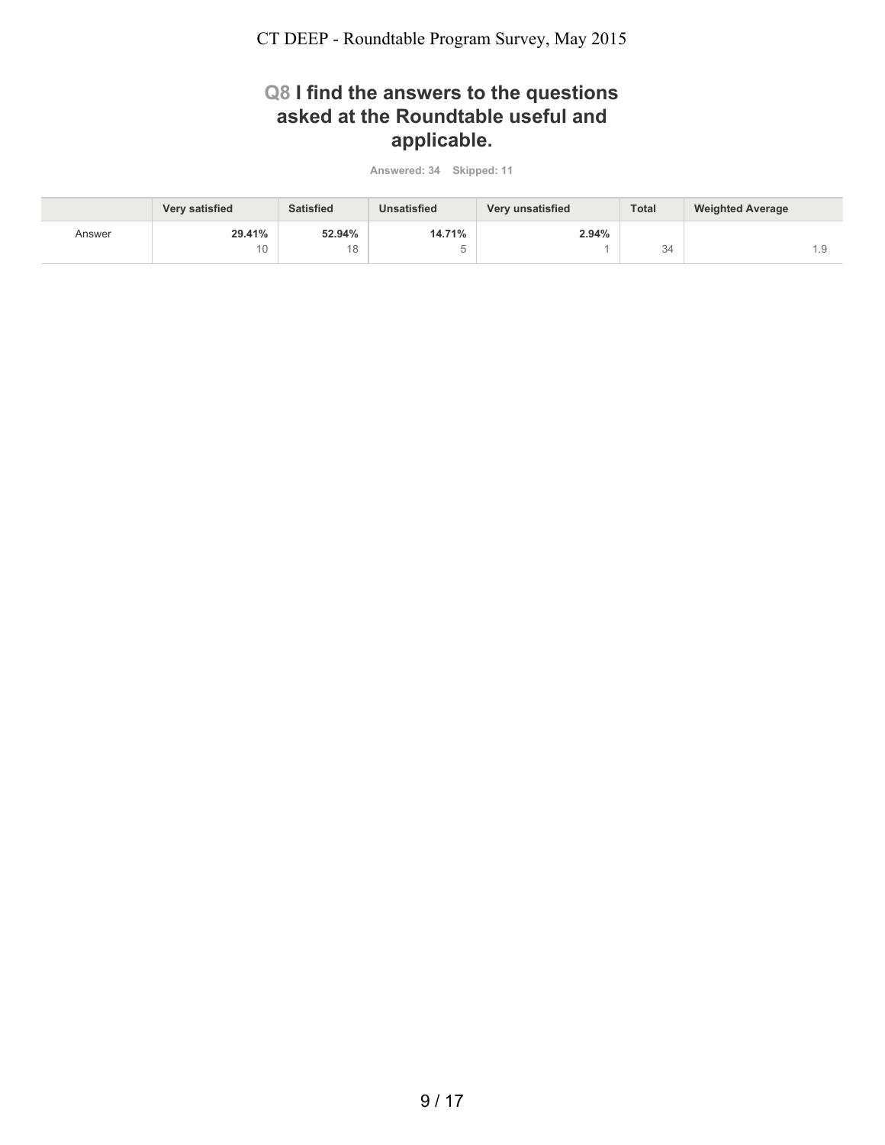### **Q8 I find the answers to the questions asked at the Roundtable useful and applicable.**

|        | <b>Very satisfied</b> | <b>Satisfied</b> | <b>Unsatisfied</b> | Very unsatisfied | <b>Total</b> | <b>Weighted Average</b> |
|--------|-----------------------|------------------|--------------------|------------------|--------------|-------------------------|
| Answer | 29.41%                | 52.94%           | 14.71%             | 2.94%            |              |                         |
|        |                       | 10               |                    |                  | 34           | l.Y                     |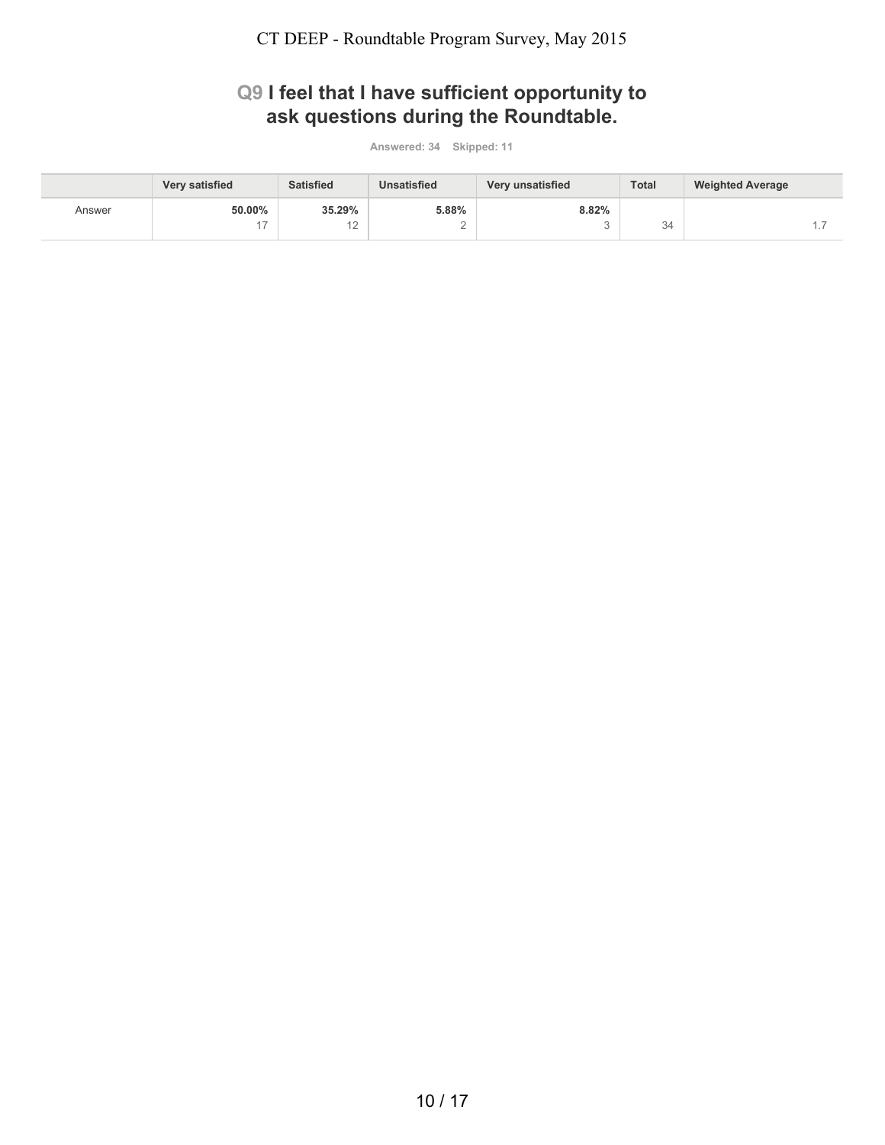## **Q9 I feel that I have sufficient opportunity to ask questions during the Roundtable.**

|        | <b>Very satisfied</b> | <b>Satisfied</b> | <b>Unsatisfied</b> | Very unsatisfied | <b>Total</b> | <b>Weighted Average</b> |
|--------|-----------------------|------------------|--------------------|------------------|--------------|-------------------------|
| Answer | 50.00%                | 35.29%           | 5.88%              | 8.82%            |              |                         |
|        | $4 -$                 | $\sim$<br>∼      |                    |                  | 34           |                         |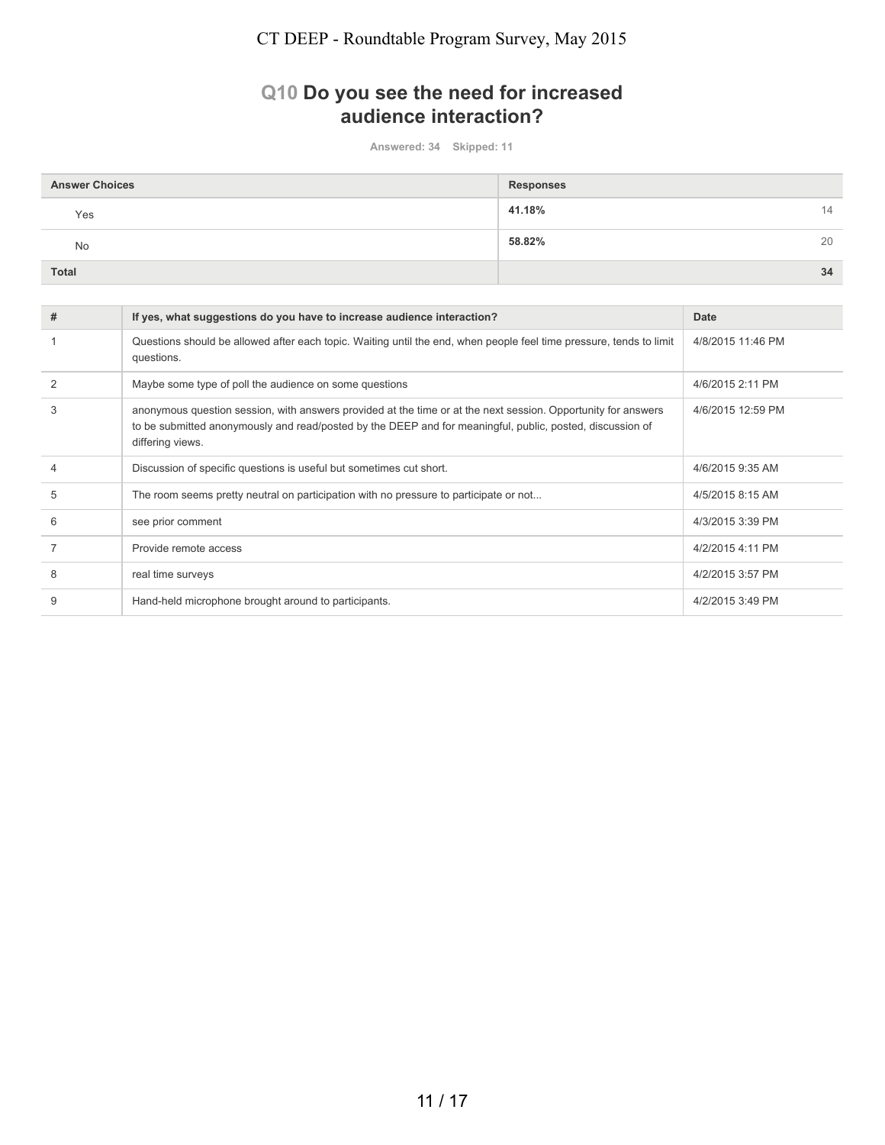### **Q10 Do you see the need for increased audience interaction?**

| <b>Answer Choices</b> | <b>Responses</b> |
|-----------------------|------------------|
| Yes                   | 41.18%<br>14     |
| No                    | 58.82%<br>20     |
| Total                 | 34               |

| # | If yes, what suggestions do you have to increase audience interaction?                                                                                                                                                                         | Date              |
|---|------------------------------------------------------------------------------------------------------------------------------------------------------------------------------------------------------------------------------------------------|-------------------|
|   | Questions should be allowed after each topic. Waiting until the end, when people feel time pressure, tends to limit<br>questions.                                                                                                              | 4/8/2015 11:46 PM |
|   | Maybe some type of poll the audience on some questions                                                                                                                                                                                         | 4/6/2015 2:11 PM  |
| 3 | anonymous question session, with answers provided at the time or at the next session. Opportunity for answers<br>to be submitted anonymously and read/posted by the DEEP and for meaningful, public, posted, discussion of<br>differing views. | 4/6/2015 12:59 PM |
|   | Discussion of specific questions is useful but sometimes cut short.                                                                                                                                                                            | 4/6/2015 9:35 AM  |
| 5 | The room seems pretty neutral on participation with no pressure to participate or not                                                                                                                                                          | 4/5/2015 8:15 AM  |
| 6 | see prior comment                                                                                                                                                                                                                              | 4/3/2015 3:39 PM  |
|   | Provide remote access                                                                                                                                                                                                                          | 4/2/2015 4:11 PM  |
| 8 | real time surveys                                                                                                                                                                                                                              | 4/2/2015 3:57 PM  |
| 9 | Hand-held microphone brought around to participants.                                                                                                                                                                                           | 4/2/2015 3:49 PM  |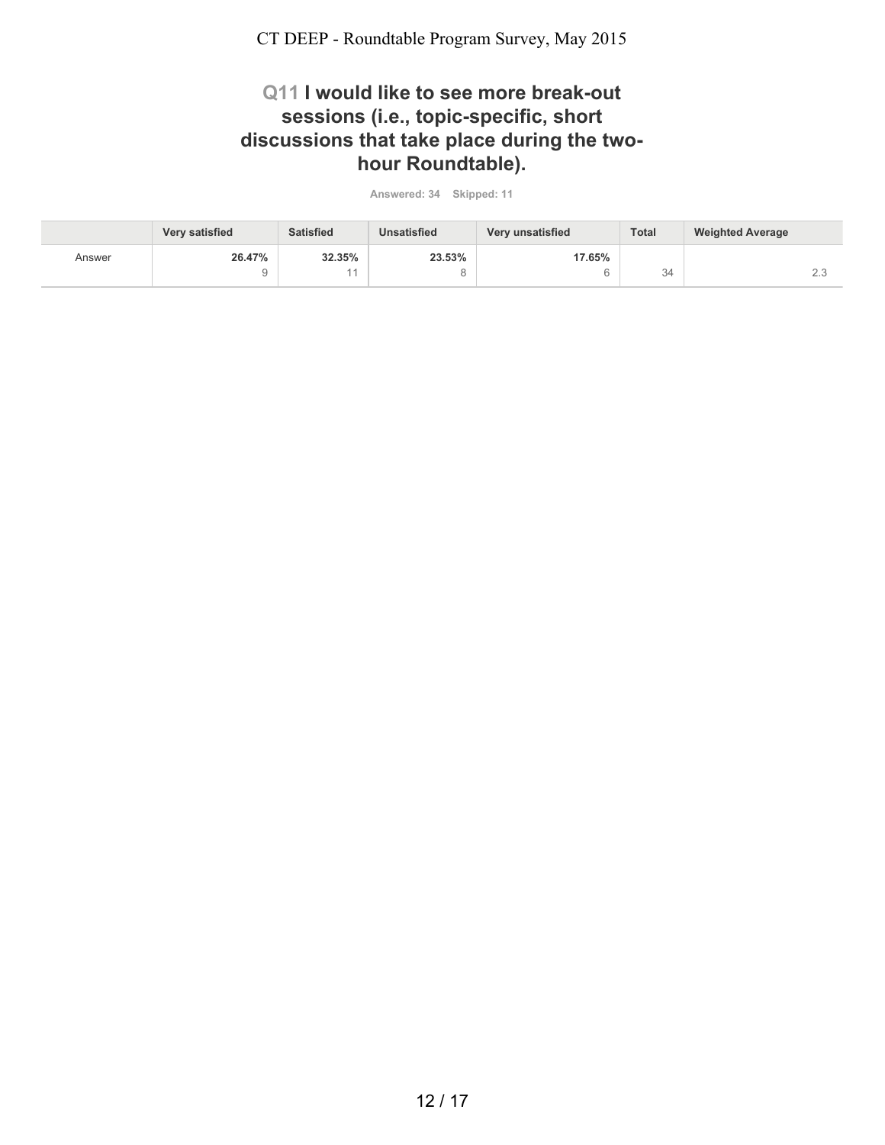### **Q11 I would like to see more break-out sessions (i.e., topic-specific, short discussions that take place during the twohour Roundtable).**

|        | Very satisfied | <b>Satisfied</b> | <b>Unsatisfied</b> | Very unsatisfied | <b>Total</b> | <b>Weighted Average</b> |
|--------|----------------|------------------|--------------------|------------------|--------------|-------------------------|
| Answer | 26.47%         | 32.35%           | 23.53%             | 17.65%           |              |                         |
|        |                |                  |                    |                  | 34           | $\sim$ $\sim$<br>$\sim$ |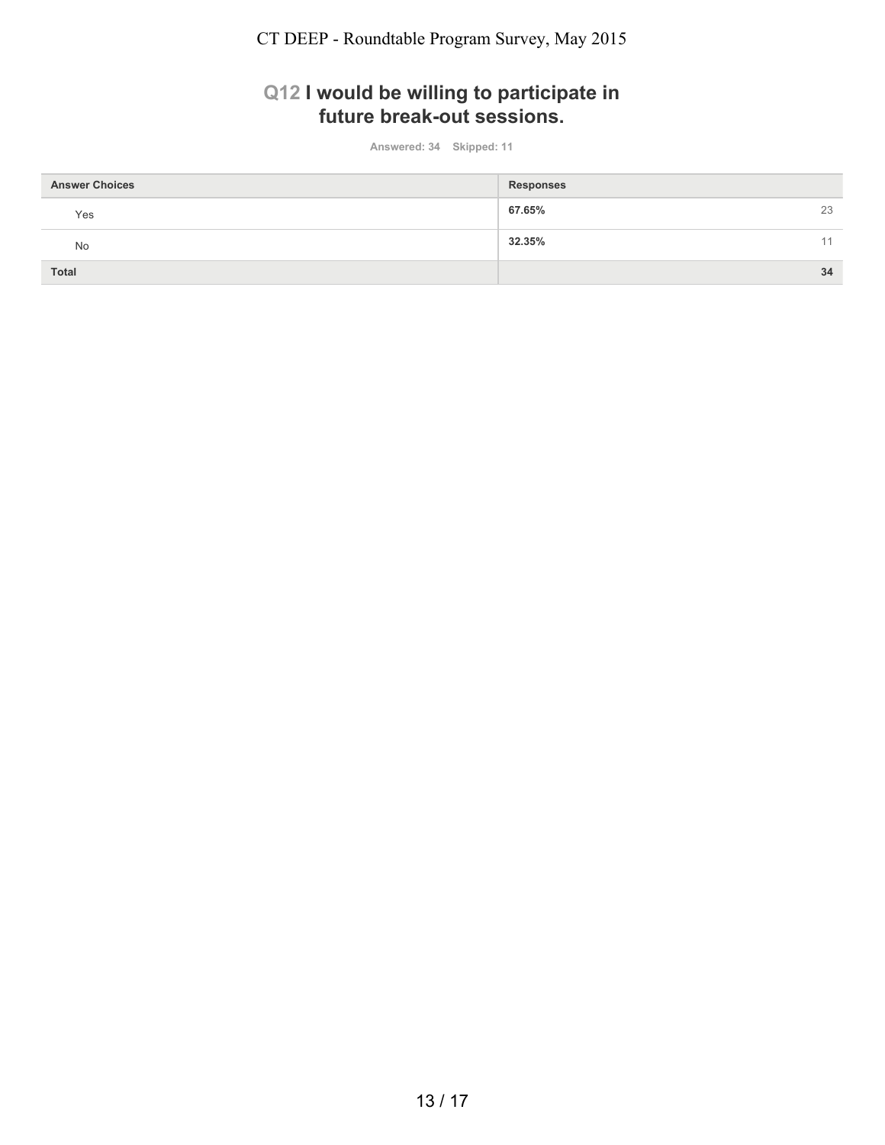### **Q12 I would be willing to participate in future break-out sessions.**

| <b>Answer Choices</b> | <b>Responses</b> |
|-----------------------|------------------|
| Yes                   | 67.65%<br>23     |
| No                    | 32.35%<br>11     |
| <b>Total</b>          | 34               |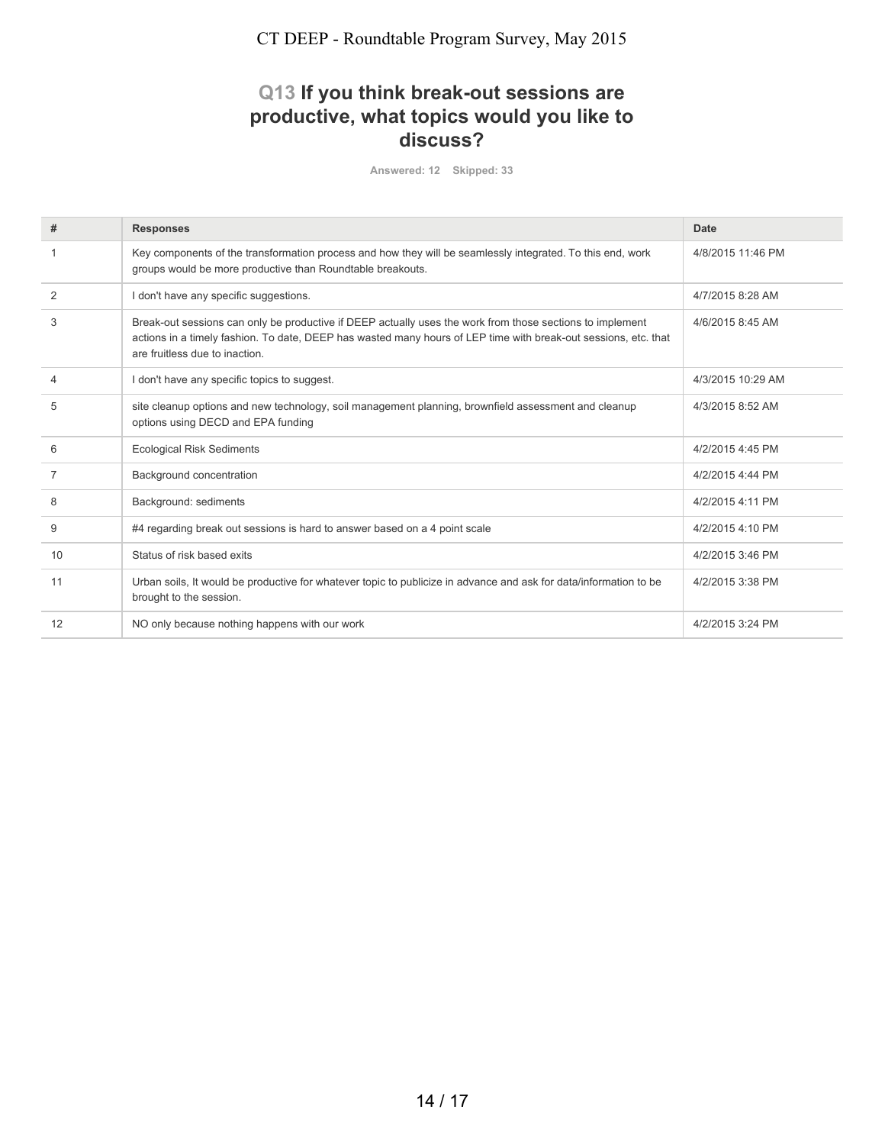### **Q13 If you think break-out sessions are productive, what topics would you like to discuss?**

| #              | <b>Responses</b>                                                                                                                                                                                                                                               | <b>Date</b>       |
|----------------|----------------------------------------------------------------------------------------------------------------------------------------------------------------------------------------------------------------------------------------------------------------|-------------------|
|                | Key components of the transformation process and how they will be seamlessly integrated. To this end, work<br>groups would be more productive than Roundtable breakouts.                                                                                       | 4/8/2015 11:46 PM |
| 2              | I don't have any specific suggestions.                                                                                                                                                                                                                         | 4/7/2015 8:28 AM  |
| 3              | Break-out sessions can only be productive if DEEP actually uses the work from those sections to implement<br>actions in a timely fashion. To date, DEEP has wasted many hours of LEP time with break-out sessions, etc. that<br>are fruitless due to inaction. | 4/6/2015 8:45 AM  |
| 4              | I don't have any specific topics to suggest.                                                                                                                                                                                                                   | 4/3/2015 10:29 AM |
| 5              | site cleanup options and new technology, soil management planning, brownfield assessment and cleanup<br>options using DECD and EPA funding                                                                                                                     | 4/3/2015 8:52 AM  |
| 6              | <b>Ecological Risk Sediments</b>                                                                                                                                                                                                                               | 4/2/2015 4:45 PM  |
| $\overline{7}$ | Background concentration                                                                                                                                                                                                                                       | 4/2/2015 4:44 PM  |
| 8              | Background: sediments                                                                                                                                                                                                                                          | 4/2/2015 4:11 PM  |
| 9              | #4 regarding break out sessions is hard to answer based on a 4 point scale                                                                                                                                                                                     | 4/2/2015 4:10 PM  |
| 10             | Status of risk based exits                                                                                                                                                                                                                                     | 4/2/2015 3:46 PM  |
| 11             | Urban soils, It would be productive for whatever topic to publicize in advance and ask for data/information to be<br>brought to the session.                                                                                                                   | 4/2/2015 3:38 PM  |
| 12             | NO only because nothing happens with our work                                                                                                                                                                                                                  | 4/2/2015 3:24 PM  |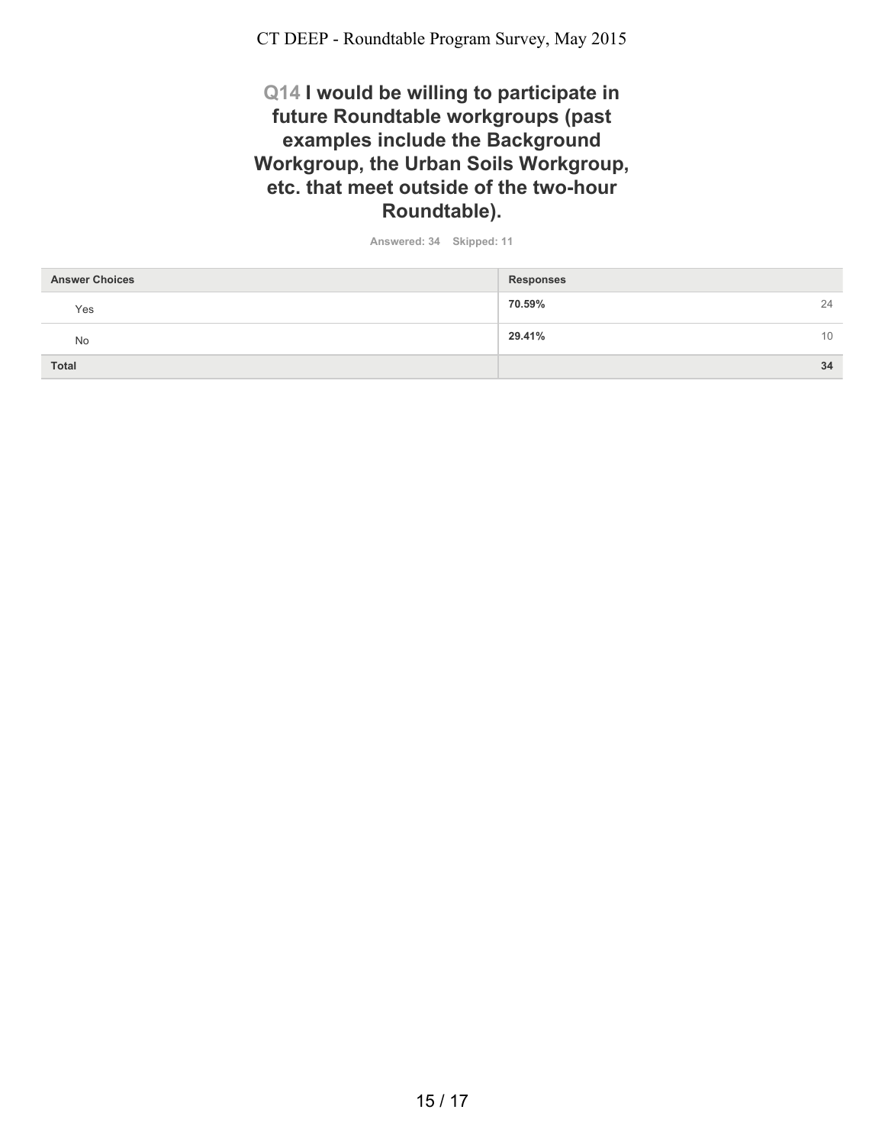### **Q14 I would be willing to participate in future Roundtable workgroups (past examples include the Background Workgroup, the Urban Soils Workgroup, etc. that meet outside of the two-hour Roundtable).**

| <b>Answer Choices</b> | <b>Responses</b> |
|-----------------------|------------------|
| Yes                   | 70.59%<br>24     |
| No                    | 29.41%<br>10     |
| <b>Total</b>          | 34               |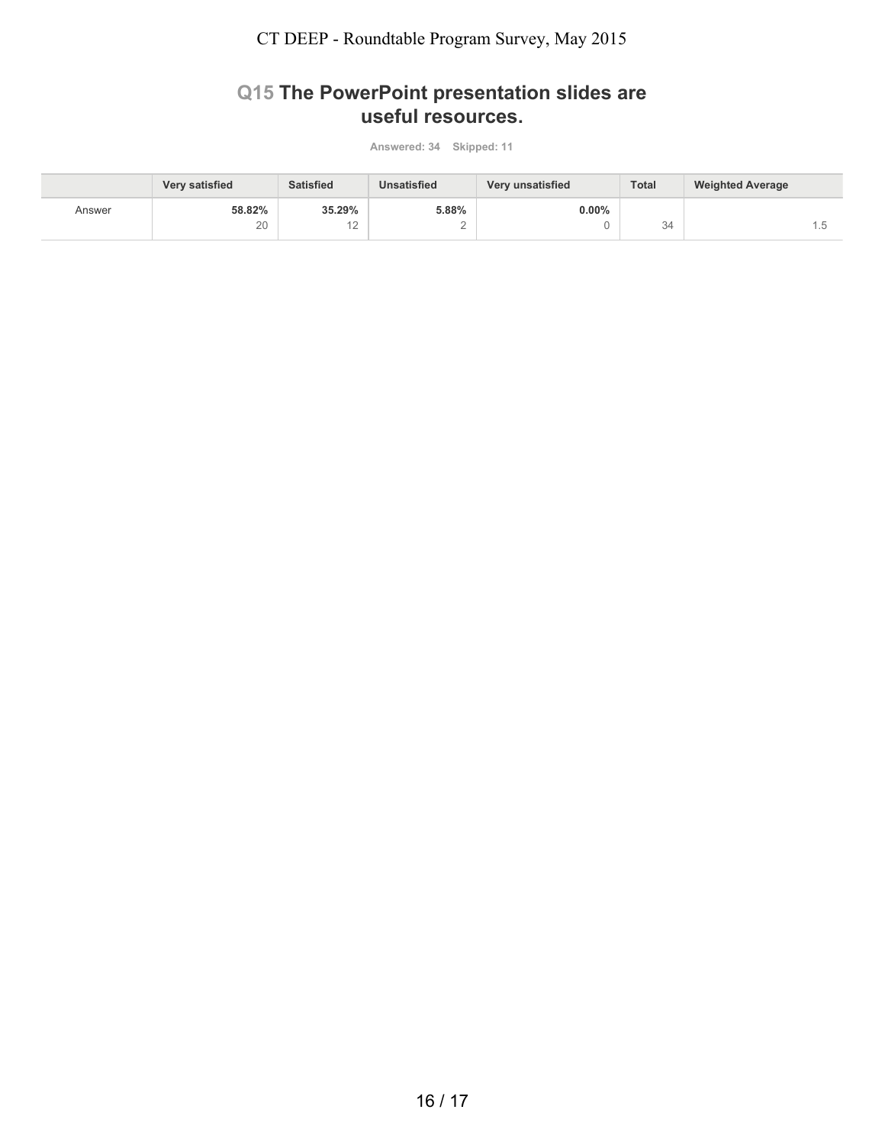### **Q15 The PowerPoint presentation slides are useful resources.**

|        | <b>Very satisfied</b> | <b>Satisfied</b> | <b>Unsatisfied</b> | Very unsatisfied | <b>Total</b> | <b>Weighted Average</b> |
|--------|-----------------------|------------------|--------------------|------------------|--------------|-------------------------|
| Answer | 58.82%                | 35.29%           | 5.88%              | $0.00\%$         |              |                         |
|        | 20                    | ┕                |                    |                  | 34           | ن ا                     |